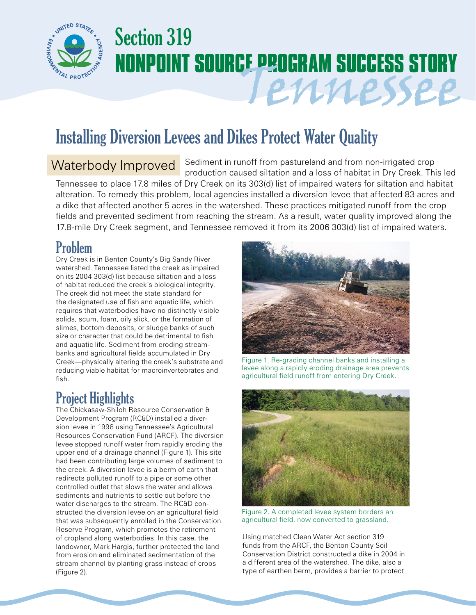

# Section 319 **NONPOINT SOURCE PROGRAM SUCCESS STORY** Tennessee

# Installing Diversion Levees and Dikes Protect Water Quality

## Waterbody Improved

Sediment in runoff from pastureland and from non-irrigated crop production caused siltation and a loss of habitat in Dry Creek. This led Tennessee to place 17.8 miles of Dry Creek on its 303(d) list of impaired waters for siltation and habitat

alteration. To remedy this problem, local agencies installed a diversion levee that affected 83 acres and a dike that affected another 5 acres in the watershed. These practices mitigated runoff from the crop fields and prevented sediment from reaching the stream. As a result, water quality improved along the 17.8-mile Dry Creek segment, and Tennessee removed it from its 2006 303(d) list of impaired waters.

### Problem

Dry Creek is in Benton County's Big Sandy River watershed. Tennessee listed the creek as impaired on its 2004 303(d) list because siltation and a loss of habitat reduced the creek's biological integrity. The creek did not meet the state standard for the designated use of fish and aquatic life, which requires that waterbodies have no distinctly visible solids, scum, foam, oily slick, or the formation of slimes, bottom deposits, or sludge banks of such size or character that could be detrimental to fish and aquatic life. Sediment from eroding streambanks and agricultural fields accumulated in Dry Creek—physically altering the creek's substrate and reducing viable habitat for macroinvertebrates and fish.

#### Project Highlights

The Chickasaw-Shiloh Resource Conservation & Development Program (RC&D) installed a diversion levee in 1998 using Tennessee's Agricultural Resources Conservation Fund (ARCF). The diversion levee stopped runoff water from rapidly eroding the upper end of a drainage channel (Figure 1). This site had been contributing large volumes of sediment to the creek. A diversion levee is a berm of earth that redirects polluted runoff to a pipe or some other controlled outlet that slows the water and allows sediments and nutrients to settle out before the water discharges to the stream. The RC&D constructed the diversion levee on an agricultural field that was subsequently enrolled in the Conservation Reserve Program, which promotes the retirement of cropland along waterbodies. In this case, the landowner, Mark Hargis, further protected the land from erosion and eliminated sedimentation of the stream channel by planting grass instead of crops (Figure 2).



Figure 1. Re-grading channel banks and installing a levee along a rapidly eroding drainage area prevents agricultural field runoff from entering Dry Creek.



Figure 2. A completed levee system borders an agricultural field, now converted to grassland.

Using matched Clean Water Act section 319 funds from the ARCF, the Benton County Soil Conservation District constructed a dike in 2004 in a different area of the watershed. The dike, also a type of earthen berm, provides a barrier to protect